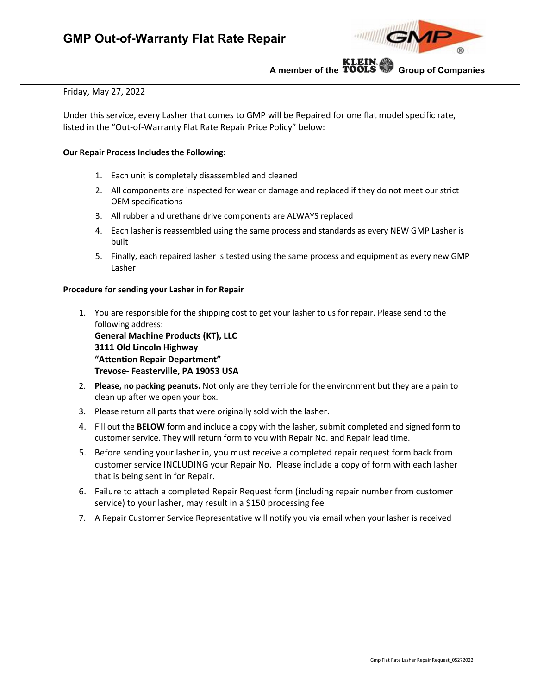

**A member of the Group of Companies**

# Friday, May 27, 2022

Under this service, every Lasher that comes to GMP will be Repaired for one flat model specific rate, listed in the "Out-of-Warranty Flat Rate Repair Price Policy" below:

## **Our Repair Process Includes the Following:**

- 1. Each unit is completely disassembled and cleaned
- 2. All components are inspected for wear or damage and replaced if they do not meet our strict OEM specifications
- 3. All rubber and urethane drive components are ALWAYS replaced
- 4. Each lasher is reassembled using the same process and standards as every NEW GMP Lasher is built
- 5. Finally, each repaired lasher is tested using the same process and equipment as every new GMP Lasher

## **Procedure for sending your Lasher in for Repair**

1. You are responsible for the shipping cost to get your lasher to us for repair. Please send to the following address:

**General Machine Products (KT), LLC 3111 Old Lincoln Highway "Attention Repair Department" Trevose- Feasterville, PA 19053 USA**

- 2. **Please, no packing peanuts.** Not only are they terrible for the environment but they are a pain to clean up after we open your box.
- 3. Please return all parts that were originally sold with the lasher.
- 4. Fill out the **BELOW** form and include a copy with the lasher, submit completed and signed form to customer service. They will return form to you with Repair No. and Repair lead time.
- 5. Before sending your lasher in, you must receive a completed repair request form back from customer service INCLUDING your Repair No. Please include a copy of form with each lasher that is being sent in for Repair.
- 6. Failure to attach a completed Repair Request form (including repair number from customer service) to your lasher, may result in a \$150 processing fee
- 7. A Repair Customer Service Representative will notify you via email when your lasher is received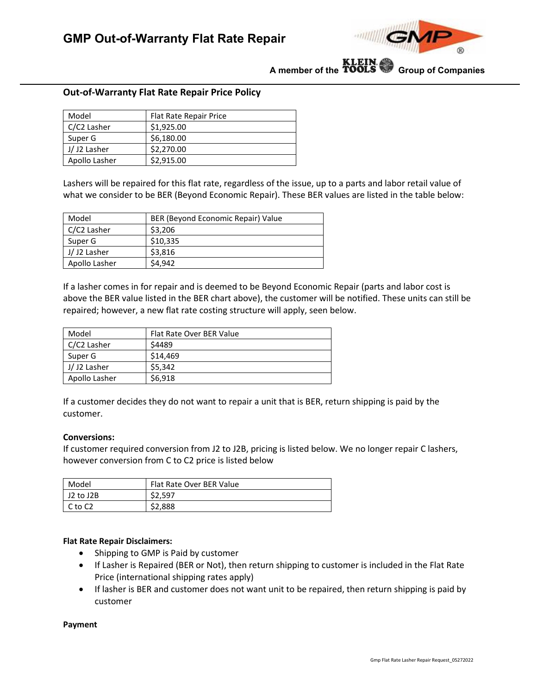

**A member of the Group of Companies**

# **Out-of-Warranty Flat Rate Repair Price Policy**

| Model         | Flat Rate Repair Price |
|---------------|------------------------|
| C/C2 Lasher   | \$1.925.00             |
| Super G       | \$6,180.00             |
| J/J2 Lasher   | \$2,270.00             |
| Apollo Lasher | \$2,915.00             |

Lashers will be repaired for this flat rate, regardless of the issue, up to a parts and labor retail value of what we consider to be BER (Beyond Economic Repair). These BER values are listed in the table below:

| Model         | BER (Beyond Economic Repair) Value |
|---------------|------------------------------------|
| C/C2 Lasher   | \$3,206                            |
| Super G       | \$10,335                           |
| J/J2 Lasher   | \$3,816                            |
| Apollo Lasher | \$4,942                            |

If a lasher comes in for repair and is deemed to be Beyond Economic Repair (parts and labor cost is above the BER value listed in the BER chart above), the customer will be notified. These units can still be repaired; however, a new flat rate costing structure will apply, seen below.

| Model         | Flat Rate Over BER Value |
|---------------|--------------------------|
| C/C2 Lasher   | \$4489                   |
| Super G       | \$14,469                 |
| J/J2 Lasher   | \$5,342                  |
| Apollo Lasher | \$6,918                  |

If a customer decides they do not want to repair a unit that is BER, return shipping is paid by the customer.

#### **Conversions:**

If customer required conversion from J2 to J2B, pricing is listed below. We no longer repair C lashers, however conversion from C to C2 price is listed below

| Model     | Flat Rate Over BER Value |
|-----------|--------------------------|
| J2 to J2B | \$2.597                  |
| C to C2   | \$2,888                  |

## **Flat Rate Repair Disclaimers:**

- Shipping to GMP is Paid by customer
- If Lasher is Repaired (BER or Not), then return shipping to customer is included in the Flat Rate Price (international shipping rates apply)
- If lasher is BER and customer does not want unit to be repaired, then return shipping is paid by customer

#### **Payment**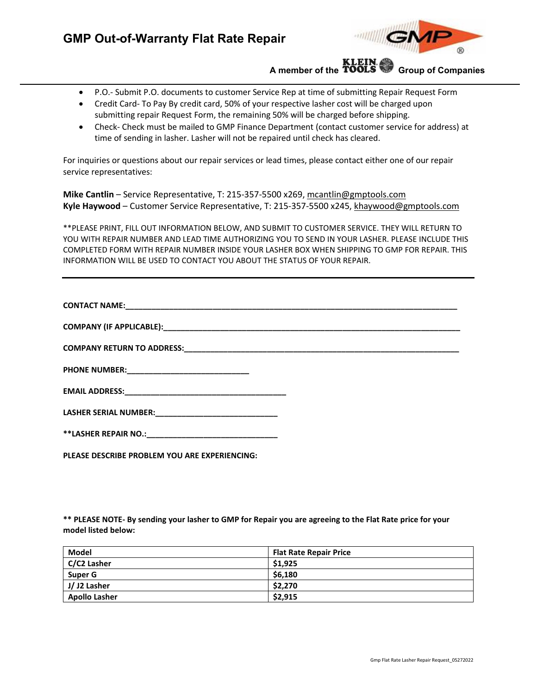

**A member of the Group of Companies**

- P.O.- Submit P.O. documents to customer Service Rep at time of submitting Repair Request Form
- Credit Card- To Pay By credit card, 50% of your respective lasher cost will be charged upon submitting repair Request Form, the remaining 50% will be charged before shipping.
- Check- Check must be mailed to GMP Finance Department (contact customer service for address) at time of sending in lasher. Lasher will not be repaired until check has cleared.

For inquiries or questions about our repair services or lead times, please contact either one of our repair service representatives:

**Mike Cantlin** – Service Representative, T: 215-357-5500 x269, [mcantlin@gmptools.com](mailto:mcantlin@gmptools.com) **Kyle Haywood** – Customer Service Representative, T: 215-357-5500 x245, [khaywood@gmptools.com](mailto:khaywood@gmptools.com)

\*\*PLEASE PRINT, FILL OUT INFORMATION BELOW, AND SUBMIT TO CUSTOMER SERVICE. THEY WILL RETURN TO YOU WITH REPAIR NUMBER AND LEAD TIME AUTHORIZING YOU TO SEND IN YOUR LASHER. PLEASE INCLUDE THIS COMPLETED FORM WITH REPAIR NUMBER INSIDE YOUR LASHER BOX WHEN SHIPPING TO GMP FOR REPAIR. THIS INFORMATION WILL BE USED TO CONTACT YOU ABOUT THE STATUS OF YOUR REPAIR.

| PLEASE DESCRIBE PROBLEM YOU ARE EXPERIENCING: |  |
|-----------------------------------------------|--|

**\*\* PLEASE NOTE- By sending your lasher to GMP for Repair you are agreeing to the Flat Rate price for your model listed below:**

| Model                | <b>Flat Rate Repair Price</b> |
|----------------------|-------------------------------|
| C/C2 Lasher          | \$1,925                       |
| Super G              | \$6,180                       |
| J/J2 Lasher          | \$2,270                       |
| <b>Apollo Lasher</b> | \$2,915                       |